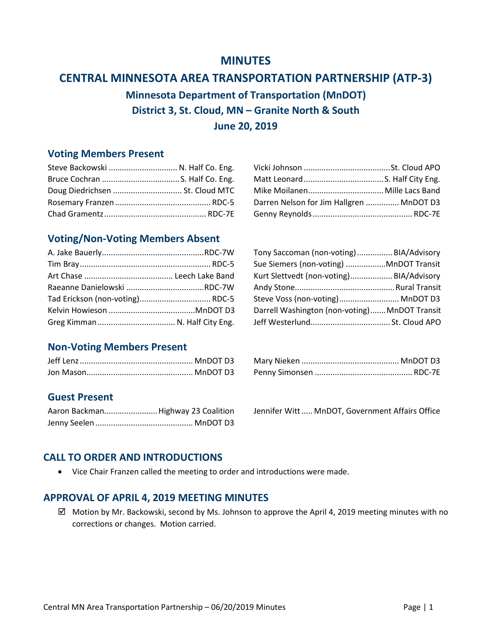# **MINUTES**

# **CENTRAL MINNESOTA AREA TRANSPORTATION PARTNERSHIP (ATP-3)**

**Minnesota Department of Transportation (MnDOT) District 3, St. Cloud, MN – Granite North & South June 20, 2019**

## **Voting Members Present**

| Steve Backowski  N. Half Co. Eng. |                                          |  |
|-----------------------------------|------------------------------------------|--|
|                                   |                                          |  |
|                                   |                                          |  |
|                                   | Darren Nelson for Jim Hallgren  MnDOT D3 |  |
|                                   |                                          |  |

| Steve Backowski  N. Half Co. Eng. |                                          |  |
|-----------------------------------|------------------------------------------|--|
|                                   |                                          |  |
| Doug Diedrichsen  St. Cloud MTC   |                                          |  |
|                                   | Darren Nelson for Jim Hallgren  MnDOT D3 |  |
|                                   |                                          |  |

# **Voting/Non-Voting Members Absent**

|  | Tony Saccoman (non-voting)BIA/Advisory        |  |
|--|-----------------------------------------------|--|
|  | Sue Siemers (non-voting) MnDOT Transit        |  |
|  | Kurt Slettvedt (non-voting) BIA/Advisory      |  |
|  |                                               |  |
|  | Steve Voss (non-voting) MnDOT D3              |  |
|  | Darrell Washington (non-voting) MnDOT Transit |  |
|  |                                               |  |

| eve Voss (non-voting) MnDOT D:            |  |
|-------------------------------------------|--|
| rrell Washington (non-voting)MnDOT Transi |  |
|                                           |  |
|                                           |  |

# **Non-Voting Members Present**

# **Guest Present**

| Aaron Backman Highway 23 Coalition |
|------------------------------------|
|                                    |

Jennifer Witt...... MnDOT, Government Affairs Office

# **CALL TO ORDER AND INTRODUCTIONS**

• Vice Chair Franzen called the meeting to order and introductions were made.

## **APPROVAL OF APRIL 4, 2019 MEETING MINUTES**

 $\boxtimes$  Motion by Mr. Backowski, second by Ms. Johnson to approve the April 4, 2019 meeting minutes with no corrections or changes. Motion carried.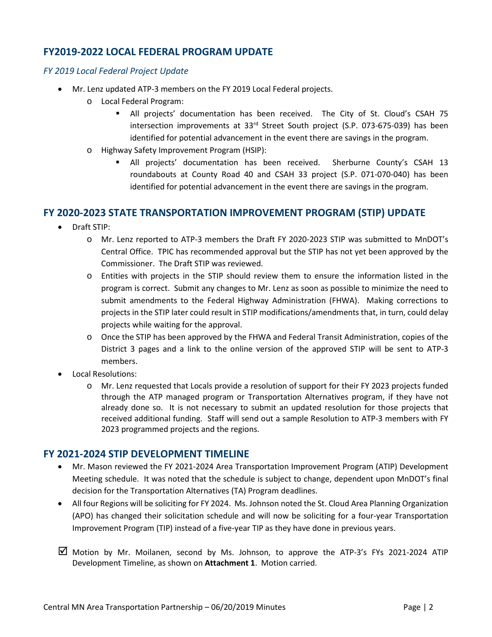## **FY2019-2022 LOCAL FEDERAL PROGRAM UPDATE**

#### *FY 2019 Local Federal Project Update*

- Mr. Lenz updated ATP-3 members on the FY 2019 Local Federal projects.
	- o Local Federal Program:
		- All projects' documentation has been received. The City of St. Cloud's CSAH 75 intersection improvements at 33<sup>rd</sup> Street South project (S.P. 073-675-039) has been identified for potential advancement in the event there are savings in the program.
	- o Highway Safety Improvement Program (HSIP):
		- All projects' documentation has been received. Sherburne County's CSAH 13 roundabouts at County Road 40 and CSAH 33 project (S.P. 071-070-040) has been identified for potential advancement in the event there are savings in the program.

#### **FY 2020-2023 STATE TRANSPORTATION IMPROVEMENT PROGRAM (STIP) UPDATE**

- Draft STIP:
	- o Mr. Lenz reported to ATP-3 members the Draft FY 2020-2023 STIP was submitted to MnDOT's Central Office. TPIC has recommended approval but the STIP has not yet been approved by the Commissioner. The Draft STIP was reviewed.
	- o Entities with projects in the STIP should review them to ensure the information listed in the program is correct. Submit any changes to Mr. Lenz as soon as possible to minimize the need to submit amendments to the Federal Highway Administration (FHWA). Making corrections to projects in the STIP later could result in STIP modifications/amendments that, in turn, could delay projects while waiting for the approval.
	- o Once the STIP has been approved by the FHWA and Federal Transit Administration, copies of the District 3 pages and a link to the online version of the approved STIP will be sent to ATP-3 members.
- Local Resolutions:
	- o Mr. Lenz requested that Locals provide a resolution of support for their FY 2023 projects funded through the ATP managed program or Transportation Alternatives program, if they have not already done so. It is not necessary to submit an updated resolution for those projects that received additional funding. Staff will send out a sample Resolution to ATP-3 members with FY 2023 programmed projects and the regions.

## **FY 2021-2024 STIP DEVELOPMENT TIMELINE**

- Mr. Mason reviewed the FY 2021-2024 Area Transportation Improvement Program (ATIP) Development Meeting schedule. It was noted that the schedule is subject to change, dependent upon MnDOT's final decision for the Transportation Alternatives (TA) Program deadlines.
- All four Regions will be soliciting for FY 2024. Ms. Johnson noted the St. Cloud Area Planning Organization (APO) has changed their solicitation schedule and will now be soliciting for a four-year Transportation Improvement Program (TIP) instead of a five-year TIP as they have done in previous years.
- $\boxtimes$  Motion by Mr. Moilanen, second by Ms. Johnson, to approve the ATP-3's FYs 2021-2024 ATIP Development Timeline, as shown on **Attachment 1**. Motion carried.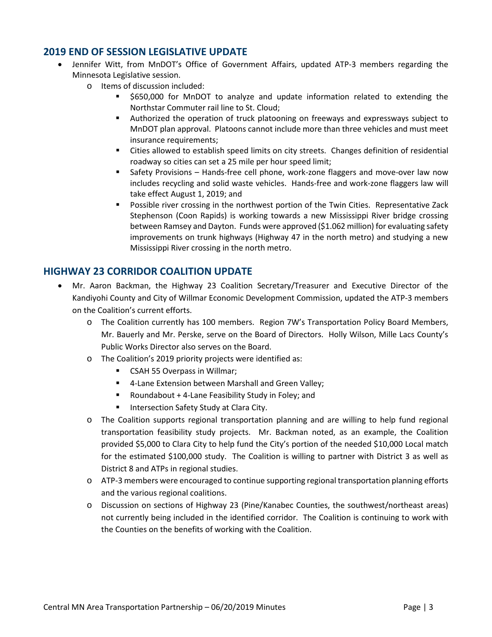## **2019 END OF SESSION LEGISLATIVE UPDATE**

- Jennifer Witt, from MnDOT's Office of Government Affairs, updated ATP-3 members regarding the Minnesota Legislative session.
	- o Items of discussion included:
		- \$650,000 for MnDOT to analyze and update information related to extending the Northstar Commuter rail line to St. Cloud;
		- Authorized the operation of truck platooning on freeways and expressways subject to MnDOT plan approval. Platoons cannot include more than three vehicles and must meet insurance requirements;
		- Cities allowed to establish speed limits on city streets. Changes definition of residential roadway so cities can set a 25 mile per hour speed limit;
		- **Safety Provisions Hands-free cell phone, work-zone flaggers and move-over law now** includes recycling and solid waste vehicles. Hands-free and work-zone flaggers law will take effect August 1, 2019; and
		- Possible river crossing in the northwest portion of the Twin Cities. Representative Zack Stephenson (Coon Rapids) is working towards a new Mississippi River bridge crossing between Ramsey and Dayton. Funds were approved (\$1.062 million) for evaluating safety improvements on trunk highways (Highway 47 in the north metro) and studying a new Mississippi River crossing in the north metro.

## **HIGHWAY 23 CORRIDOR COALITION UPDATE**

- Mr. Aaron Backman, the Highway 23 Coalition Secretary/Treasurer and Executive Director of the Kandiyohi County and City of Willmar Economic Development Commission, updated the ATP-3 members on the Coalition's current efforts.
	- o The Coalition currently has 100 members. Region 7W's Transportation Policy Board Members, Mr. Bauerly and Mr. Perske, serve on the Board of Directors. Holly Wilson, Mille Lacs County's Public Works Director also serves on the Board.
	- o The Coalition's 2019 priority projects were identified as:
		- **EXECTE 155 Overpass in Willmar;**
		- 4-Lane Extension between Marshall and Green Valley;
		- Roundabout + 4-Lane Feasibility Study in Foley; and
		- Intersection Safety Study at Clara City.
	- o The Coalition supports regional transportation planning and are willing to help fund regional transportation feasibility study projects. Mr. Backman noted, as an example, the Coalition provided \$5,000 to Clara City to help fund the City's portion of the needed \$10,000 Local match for the estimated \$100,000 study. The Coalition is willing to partner with District 3 as well as District 8 and ATPs in regional studies.
	- o ATP-3 members were encouraged to continue supporting regional transportation planning efforts and the various regional coalitions.
	- o Discussion on sections of Highway 23 (Pine/Kanabec Counties, the southwest/northeast areas) not currently being included in the identified corridor. The Coalition is continuing to work with the Counties on the benefits of working with the Coalition.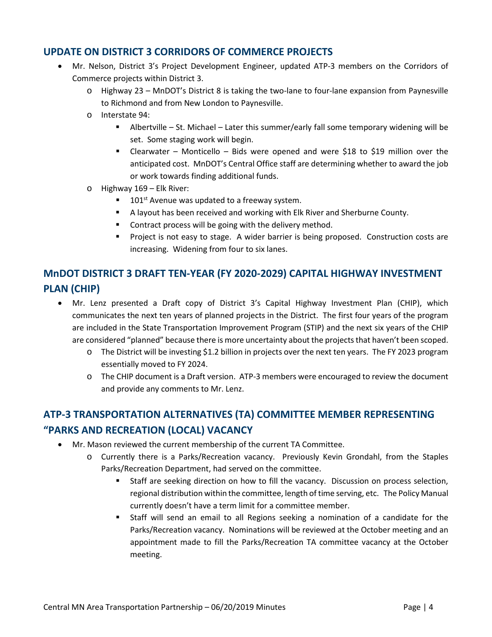## **UPDATE ON DISTRICT 3 CORRIDORS OF COMMERCE PROJECTS**

- Mr. Nelson, District 3's Project Development Engineer, updated ATP-3 members on the Corridors of Commerce projects within District 3.
	- o Highway 23 MnDOT's District 8 is taking the two-lane to four-lane expansion from Paynesville to Richmond and from New London to Paynesville.
	- o Interstate 94:
		- Albertville St. Michael Later this summer/early fall some temporary widening will be set. Some staging work will begin.
		- Clearwater Monticello Bids were opened and were \$18 to \$19 million over the anticipated cost. MnDOT's Central Office staff are determining whether to award the job or work towards finding additional funds.
	- o Highway 169 Elk River:
		- $\blacksquare$  101<sup>st</sup> Avenue was updated to a freeway system.
		- A layout has been received and working with Elk River and Sherburne County.
		- **Contract process will be going with the delivery method.**
		- **Project is not easy to stage. A wider barrier is being proposed. Construction costs are** increasing. Widening from four to six lanes.

# **MnDOT DISTRICT 3 DRAFT TEN-YEAR (FY 2020-2029) CAPITAL HIGHWAY INVESTMENT PLAN (CHIP)**

- Mr. Lenz presented a Draft copy of District 3's Capital Highway Investment Plan (CHIP), which communicates the next ten years of planned projects in the District. The first four years of the program are included in the State Transportation Improvement Program (STIP) and the next six years of the CHIP are considered "planned" because there is more uncertainty about the projects that haven't been scoped.
	- o The District will be investing \$1.2 billion in projects over the next ten years. The FY 2023 program essentially moved to FY 2024.
	- o The CHIP document is a Draft version. ATP-3 members were encouraged to review the document and provide any comments to Mr. Lenz.

# **ATP-3 TRANSPORTATION ALTERNATIVES (TA) COMMITTEE MEMBER REPRESENTING "PARKS AND RECREATION (LOCAL) VACANCY**

- Mr. Mason reviewed the current membership of the current TA Committee.
	- o Currently there is a Parks/Recreation vacancy. Previously Kevin Grondahl, from the Staples Parks/Recreation Department, had served on the committee.
		- Staff are seeking direction on how to fill the vacancy. Discussion on process selection, regional distribution within the committee, length of time serving, etc. The Policy Manual currently doesn't have a term limit for a committee member.
		- Staff will send an email to all Regions seeking a nomination of a candidate for the Parks/Recreation vacancy. Nominations will be reviewed at the October meeting and an appointment made to fill the Parks/Recreation TA committee vacancy at the October meeting.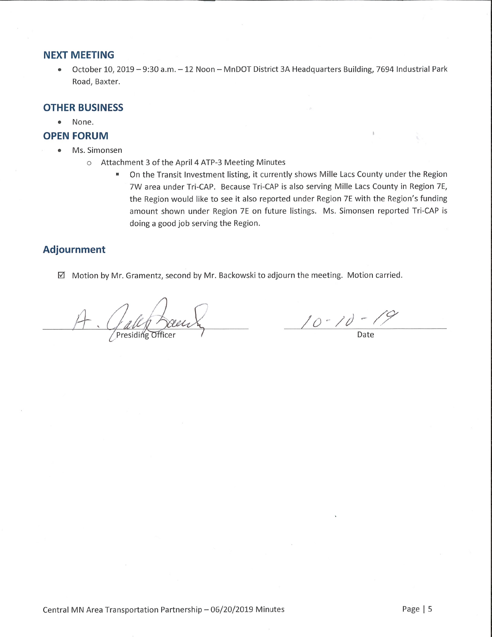#### **NEXT MEETING**

October 10, 2019 - 9:30 a.m. - 12 Noon - MnDOT District 3A Headquarters Building, 7694 Industrial Park  $\bullet$ Road, Baxter.

#### **OTHER BUSINESS**

 $\bullet$ None.

### **OPEN FORUM**

- Ms. Simonsen
	- O Attachment 3 of the April 4 ATP-3 Meeting Minutes
		- On the Transit Investment listing, it currently shows Mille Lacs County under the Region  $\blacksquare$ 7W area under Tri-CAP. Because Tri-CAP is also serving Mille Lacs County in Region 7E, the Region would like to see it also reported under Region 7E with the Region's funding amount shown under Region 7E on future listings. Ms. Simonsen reported Tri-CAP is doing a good job serving the Region.

# **Adjournment**

Motion by Mr. Gramentz, second by Mr. Backowski to adjourn the meeting. Motion carried.

 $\frac{10-10-19}{\frac{100000}{20000}}$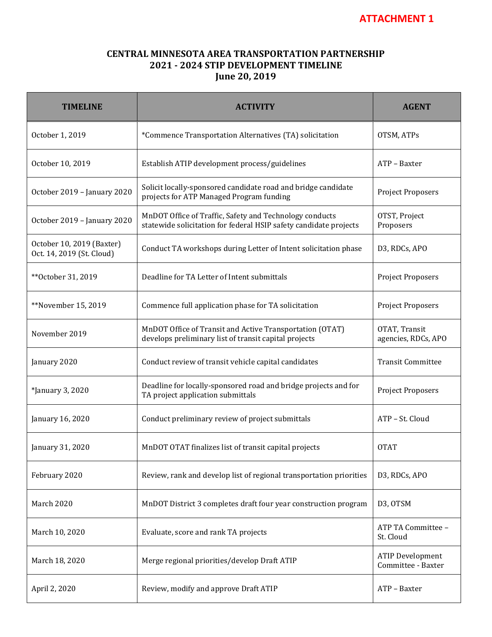## **CENTRAL MINNESOTA AREA TRANSPORTATION PARTNERSHIP 2021 - 2024 STIP DEVELOPMENT TIMELINE June 20, 2019**

| <b>TIMELINE</b>                                        | <b>ACTIVITY</b>                                                                                                              | <b>AGENT</b>                                  |
|--------------------------------------------------------|------------------------------------------------------------------------------------------------------------------------------|-----------------------------------------------|
| October 1, 2019                                        | *Commence Transportation Alternatives (TA) solicitation                                                                      | OTSM, ATPs                                    |
| October 10, 2019                                       | Establish ATIP development process/guidelines                                                                                | ATP - Baxter                                  |
| October 2019 - January 2020                            | Solicit locally-sponsored candidate road and bridge candidate<br>projects for ATP Managed Program funding                    | Project Proposers                             |
| October 2019 - January 2020                            | MnDOT Office of Traffic, Safety and Technology conducts<br>statewide solicitation for federal HSIP safety candidate projects | OTST, Project<br>Proposers                    |
| October 10, 2019 (Baxter)<br>Oct. 14, 2019 (St. Cloud) | Conduct TA workshops during Letter of Intent solicitation phase                                                              | D3, RDCs, APO                                 |
| ** October 31, 2019                                    | Deadline for TA Letter of Intent submittals                                                                                  | Project Proposers                             |
| **November 15, 2019                                    | Commence full application phase for TA solicitation                                                                          | Project Proposers                             |
| November 2019                                          | MnDOT Office of Transit and Active Transportation (OTAT)<br>develops preliminary list of transit capital projects            | OTAT, Transit<br>agencies, RDCs, APO          |
| January 2020                                           | Conduct review of transit vehicle capital candidates                                                                         | <b>Transit Committee</b>                      |
| *January 3, 2020                                       | Deadline for locally-sponsored road and bridge projects and for<br>TA project application submittals                         | Project Proposers                             |
| January 16, 2020                                       | Conduct preliminary review of project submittals                                                                             | ATP - St. Cloud                               |
| January 31, 2020                                       | MnDOT OTAT finalizes list of transit capital projects                                                                        | <b>OTAT</b>                                   |
| February 2020                                          | Review, rank and develop list of regional transportation priorities                                                          | D3, RDCs, APO                                 |
| March 2020                                             | MnDOT District 3 completes draft four year construction program                                                              | D3, OTSM                                      |
| March 10, 2020                                         | Evaluate, score and rank TA projects                                                                                         | ATP TA Committee -<br>St. Cloud               |
| March 18, 2020                                         | Merge regional priorities/develop Draft ATIP                                                                                 | <b>ATIP Development</b><br>Committee - Baxter |
| April 2, 2020                                          | Review, modify and approve Draft ATIP                                                                                        | ATP - Baxter                                  |